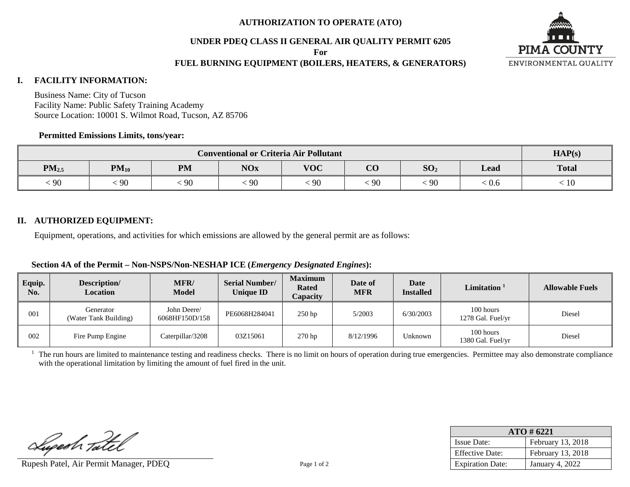### **AUTHORIZATION TO OPERATE (ATO)**

### **UNDER PDEQ CLASS II GENERAL AIR QUALITY PERMIT 6205**

**For**

## **FUEL BURNING EQUIPMENT (BOILERS, HEATERS, & GENERATORS)**



#### **I. FACILITY INFORMATION:**

Business Name: City of Tucson Facility Name: Public Safety Training Academy Source Location: 10001 S. Wilmot Road, Tucson, AZ 85706

#### **Permitted Emissions Limits, tons/year:**

| <b>Conventional or Criteria Air Pollutant</b> |           |           |            |            |                |                 | HAP(s) |                            |
|-----------------------------------------------|-----------|-----------|------------|------------|----------------|-----------------|--------|----------------------------|
| $PM_{2.5}$                                    | $PM_{10}$ | <b>PM</b> | <b>NOx</b> | <b>VOC</b> | $\Omega$<br>UU | SO <sub>2</sub> | Lead   | <b>Total</b>               |
| $\frac{1}{2}90$                               | 90        | 90        | 90         | $\cdot$ 90 | 90             | 90              | . V.O  | $\stackrel{<}{_{\sim}} 10$ |

## **II. AUTHORIZED EQUIPMENT:**

Equipment, operations, and activities for which emissions are allowed by the general permit are as follows:

### **Section 4A of the Permit – Non-NSPS/Non-NESHAP ICE (***Emergency Designated Engines***):**

| Equip.<br>No. | Description/<br><b>Location</b>    | MFR/<br><b>Model</b>          | <b>Serial Number/</b><br><b>Unique ID</b> | <b>Maximum</b><br><b>Rated</b><br>Capacity | Date of<br>MFR | Date<br><b>Installed</b> | $\mathbf{Limit}$ ation $^1$    | <b>Allowable Fuels</b> |
|---------------|------------------------------------|-------------------------------|-------------------------------------------|--------------------------------------------|----------------|--------------------------|--------------------------------|------------------------|
| 001           | Generator<br>(Water Tank Building) | John Deere/<br>6068HF150D/158 | PE6068H284041                             | $250$ hp                                   | 5/2003         | 6/30/2003                | 100 hours<br>1278 Gal. Fuel/yr | Diesel                 |
| 002           | Fire Pump Engine                   | Caterpillar/3208              | 03Z15061                                  | 270 hp                                     | 8/12/1996      | Jnknown                  | 100 hours<br>1380 Gal. Fuel/yr | Diesel                 |

<sup>1</sup> The run hours are limited to maintenance testing and readiness checks. There is no limit on hours of operation during true emergencies. Permittee may also demonstrate compliance with the operational limitation by limiting the amount of fuel fired in the unit.

Lupesh Tatel

Rupesh Patel, Air Permit Manager, PDEQ Page 1 of 2

| $ATO \# 6221$           |                        |  |  |  |  |
|-------------------------|------------------------|--|--|--|--|
| <b>Issue Date:</b>      | February 13, 2018      |  |  |  |  |
| <b>Effective Date:</b>  | February 13, 2018      |  |  |  |  |
| <b>Expiration Date:</b> | <b>January 4, 2022</b> |  |  |  |  |